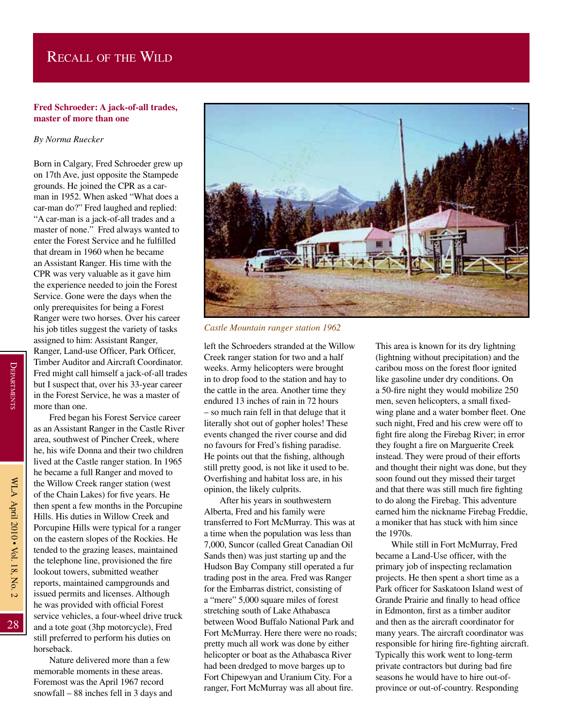## Recall of the Wild

## **Fred Schroeder: A jack-of-all trades, master of more than one**

## *By Norma Ruecker*

Born in Calgary, Fred Schroeder grew up on 17th Ave, just opposite the Stampede grounds. He joined the CPR as a carman in 1952. When asked "What does a car-man do?" Fred laughed and replied: "A car-man is a jack-of-all trades and a master of none." Fred always wanted to enter the Forest Service and he fulfilled that dream in 1960 when he became an Assistant Ranger. His time with the CPR was very valuable as it gave him the experience needed to join the Forest Service. Gone were the days when the only prerequisites for being a Forest Ranger were two horses. Over his career his job titles suggest the variety of tasks assigned to him: Assistant Ranger, Ranger, Land-use Officer, Park Officer, Timber Auditor and Aircraft Coordinator. Fred might call himself a jack-of-all trades but I suspect that, over his 33-year career in the Forest Service, he was a master of more than one.

Fred began his Forest Service career as an Assistant Ranger in the Castle River area, southwest of Pincher Creek, where he, his wife Donna and their two children lived at the Castle ranger station. In 1965 he became a full Ranger and moved to the Willow Creek ranger station (west of the Chain Lakes) for five years. He then spent a few months in the Porcupine Hills. His duties in Willow Creek and Porcupine Hills were typical for a ranger on the eastern slopes of the Rockies. He tended to the grazing leases, maintained the telephone line, provisioned the fire lookout towers, submitted weather reports, maintained campgrounds and issued permits and licenses. Although he was provided with official Forest service vehicles, a four-wheel drive truck and a tote goat (3hp motorcycle), Fred still preferred to perform his duties on horseback.

Nature delivered more than a few memorable moments in these areas. Foremost was the April 1967 record snowfall – 88 inches fell in 3 days and



*Castle Mountain ranger station 1962*

left the Schroeders stranded at the Willow Creek ranger station for two and a half weeks. Army helicopters were brought in to drop food to the station and hay to the cattle in the area. Another time they endured 13 inches of rain in 72 hours – so much rain fell in that deluge that it literally shot out of gopher holes! These events changed the river course and did no favours for Fred's fishing paradise. He points out that the fishing, although still pretty good, is not like it used to be. Overfishing and habitat loss are, in his opinion, the likely culprits.

After his years in southwestern Alberta, Fred and his family were transferred to Fort McMurray. This was at a time when the population was less than 7,000, Suncor (called Great Canadian Oil Sands then) was just starting up and the Hudson Bay Company still operated a fur trading post in the area. Fred was Ranger for the Embarras district, consisting of a "mere" 5,000 square miles of forest stretching south of Lake Athabasca between Wood Buffalo National Park and Fort McMurray. Here there were no roads; pretty much all work was done by either helicopter or boat as the Athabasca River had been dredged to move barges up to Fort Chipewyan and Uranium City. For a ranger, Fort McMurray was all about fire.

This area is known for its dry lightning (lightning without precipitation) and the caribou moss on the forest floor ignited like gasoline under dry conditions. On a 50-fire night they would mobilize 250 men, seven helicopters, a small fixedwing plane and a water bomber fleet. One such night, Fred and his crew were off to fight fire along the Firebag River; in error they fought a fire on Marguerite Creek instead. They were proud of their efforts and thought their night was done, but they soon found out they missed their target and that there was still much fire fighting to do along the Firebag. This adventure earned him the nickname Firebag Freddie, a moniker that has stuck with him since the 1970s.

While still in Fort McMurray, Fred became a Land-Use officer, with the primary job of inspecting reclamation projects. He then spent a short time as a Park officer for Saskatoon Island west of Grande Prairie and finally to head office in Edmonton, first as a timber auditor and then as the aircraft coordinator for many years. The aircraft coordinator was responsible for hiring fire-fighting aircraft. Typically this work went to long-term private contractors but during bad fire seasons he would have to hire out-ofprovince or out-of-country. Responding

28